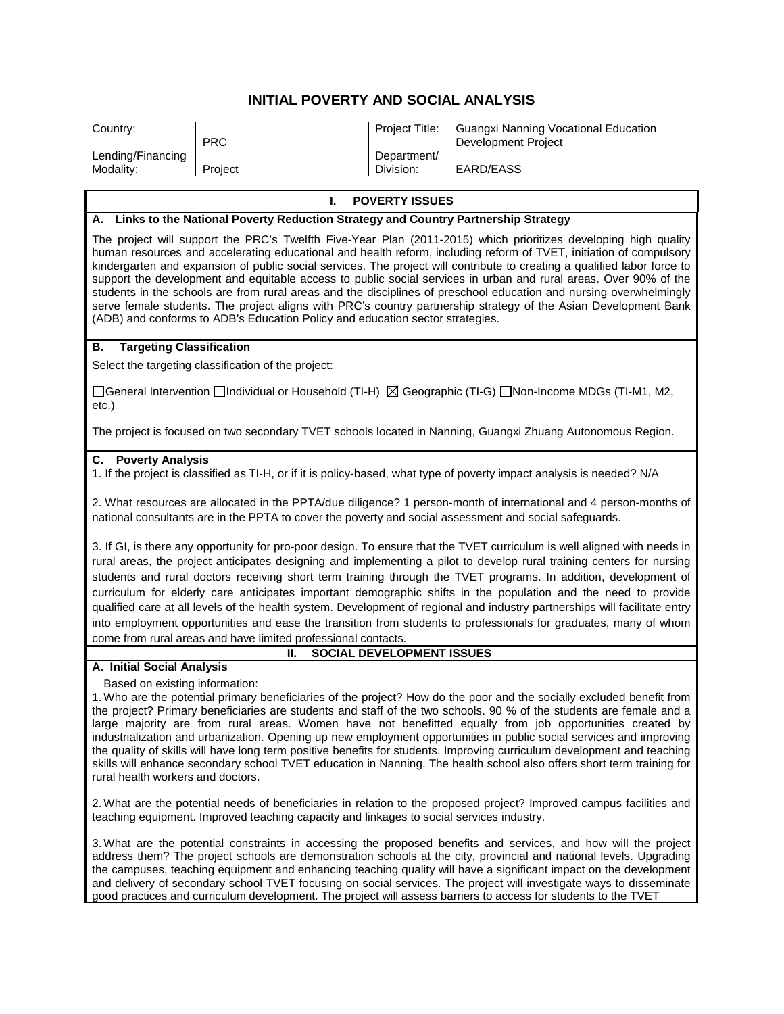## **INITIAL POVERTY AND SOCIAL ANALYSIS**

| Country:                                                                                                                                                                                                                                                                                                                                                                                                                                                                                                                                                                                                                                                                                                                                                                                                                                 |                                                                                      | Project Title:                   | <b>Guangxi Nanning Vocational Education</b>                                                                |  |  |  |
|------------------------------------------------------------------------------------------------------------------------------------------------------------------------------------------------------------------------------------------------------------------------------------------------------------------------------------------------------------------------------------------------------------------------------------------------------------------------------------------------------------------------------------------------------------------------------------------------------------------------------------------------------------------------------------------------------------------------------------------------------------------------------------------------------------------------------------------|--------------------------------------------------------------------------------------|----------------------------------|------------------------------------------------------------------------------------------------------------|--|--|--|
| Lending/Financing                                                                                                                                                                                                                                                                                                                                                                                                                                                                                                                                                                                                                                                                                                                                                                                                                        | <b>PRC</b>                                                                           | Department/                      | Development Project                                                                                        |  |  |  |
| Modality:                                                                                                                                                                                                                                                                                                                                                                                                                                                                                                                                                                                                                                                                                                                                                                                                                                | Project                                                                              | Division:                        | EARD/EASS                                                                                                  |  |  |  |
|                                                                                                                                                                                                                                                                                                                                                                                                                                                                                                                                                                                                                                                                                                                                                                                                                                          | <b>POVERTY ISSUES</b><br>L.                                                          |                                  |                                                                                                            |  |  |  |
|                                                                                                                                                                                                                                                                                                                                                                                                                                                                                                                                                                                                                                                                                                                                                                                                                                          | A. Links to the National Poverty Reduction Strategy and Country Partnership Strategy |                                  |                                                                                                            |  |  |  |
| The project will support the PRC's Twelfth Five-Year Plan (2011-2015) which prioritizes developing high quality<br>human resources and accelerating educational and health reform, including reform of TVET, initiation of compulsory<br>kindergarten and expansion of public social services. The project will contribute to creating a qualified labor force to<br>support the development and equitable access to public social services in urban and rural areas. Over 90% of the<br>students in the schools are from rural areas and the disciplines of preschool education and nursing overwhelmingly<br>serve female students. The project aligns with PRC's country partnership strategy of the Asian Development Bank<br>(ADB) and conforms to ADB's Education Policy and education sector strategies.                          |                                                                                      |                                  |                                                                                                            |  |  |  |
| <b>Targeting Classification</b><br>В.                                                                                                                                                                                                                                                                                                                                                                                                                                                                                                                                                                                                                                                                                                                                                                                                    |                                                                                      |                                  |                                                                                                            |  |  |  |
| Select the targeting classification of the project:<br>[General Intervention   Individual or Household (TI-H)   Solographic (TI-G)   Non-Income MDGs (TI-M1, M2,<br>$etc.$ )                                                                                                                                                                                                                                                                                                                                                                                                                                                                                                                                                                                                                                                             |                                                                                      |                                  |                                                                                                            |  |  |  |
|                                                                                                                                                                                                                                                                                                                                                                                                                                                                                                                                                                                                                                                                                                                                                                                                                                          |                                                                                      |                                  | The project is focused on two secondary TVET schools located in Nanning, Guangxi Zhuang Autonomous Region. |  |  |  |
| <b>C.</b> Poverty Analysis<br>1. If the project is classified as TI-H, or if it is policy-based, what type of poverty impact analysis is needed? N/A                                                                                                                                                                                                                                                                                                                                                                                                                                                                                                                                                                                                                                                                                     |                                                                                      |                                  |                                                                                                            |  |  |  |
| 2. What resources are allocated in the PPTA/due diligence? 1 person-month of international and 4 person-months of<br>national consultants are in the PPTA to cover the poverty and social assessment and social safeguards.                                                                                                                                                                                                                                                                                                                                                                                                                                                                                                                                                                                                              |                                                                                      |                                  |                                                                                                            |  |  |  |
| 3. If GI, is there any opportunity for pro-poor design. To ensure that the TVET curriculum is well aligned with needs in<br>rural areas, the project anticipates designing and implementing a pilot to develop rural training centers for nursing<br>students and rural doctors receiving short term training through the TVET programs. In addition, development of<br>curriculum for elderly care anticipates important demographic shifts in the population and the need to provide<br>qualified care at all levels of the health system. Development of regional and industry partnerships will facilitate entry<br>into employment opportunities and ease the transition from students to professionals for graduates, many of whom<br>come from rural areas and have limited professional contacts.                                |                                                                                      |                                  |                                                                                                            |  |  |  |
|                                                                                                                                                                                                                                                                                                                                                                                                                                                                                                                                                                                                                                                                                                                                                                                                                                          | н.                                                                                   | <b>SOCIAL DEVELOPMENT ISSUES</b> |                                                                                                            |  |  |  |
| A. Initial Social Analysis<br>Based on existing information:<br>1. Who are the potential primary beneficiaries of the project? How do the poor and the socially excluded benefit from<br>the project? Primary beneficiaries are students and staff of the two schools. 90 % of the students are female and a<br>large majority are from rural areas. Women have not benefitted equally from job opportunities created by<br>industrialization and urbanization. Opening up new employment opportunities in public social services and improving<br>the quality of skills will have long term positive benefits for students. Improving curriculum development and teaching<br>skills will enhance secondary school TVET education in Nanning. The health school also offers short term training for<br>rural health workers and doctors. |                                                                                      |                                  |                                                                                                            |  |  |  |
| 2. What are the potential needs of beneficiaries in relation to the proposed project? Improved campus facilities and<br>teaching equipment. Improved teaching capacity and linkages to social services industry.                                                                                                                                                                                                                                                                                                                                                                                                                                                                                                                                                                                                                         |                                                                                      |                                  |                                                                                                            |  |  |  |
| 3. What are the potential constraints in accessing the proposed benefits and services, and how will the project<br>address them? The project schools are demonstration schools at the city, provincial and national levels. Upgrading<br>the campuses, teaching equipment and enhancing teaching quality will have a significant impact on the development<br>and delivery of secondary school TVET focusing on social services. The project will investigate ways to disseminate<br>good practices and curriculum development. The project will assess barriers to access for students to the TVET                                                                                                                                                                                                                                      |                                                                                      |                                  |                                                                                                            |  |  |  |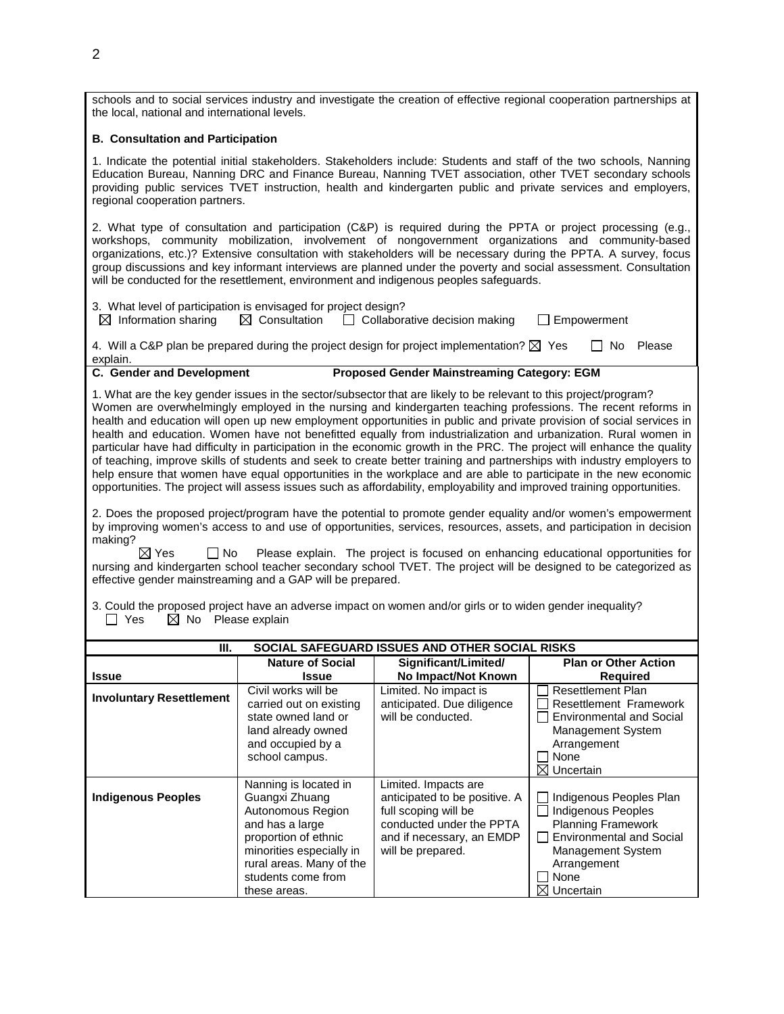schools and to social services industry and investigate the creation of effective regional cooperation partnerships at the local, national and international levels.

## **B. Consultation and Participation**

1. Indicate the potential initial stakeholders. Stakeholders include: Students and staff of the two schools, Nanning Education Bureau, Nanning DRC and Finance Bureau, Nanning TVET association, other TVET secondary schools providing public services TVET instruction, health and kindergarten public and private services and employers, regional cooperation partners.

2. What type of consultation and participation (C&P) is required during the PPTA or project processing (e.g., workshops, community mobilization, involvement of nongovernment organizations and community-based organizations, etc.)? Extensive consultation with stakeholders will be necessary during the PPTA. A survey, focus group discussions and key informant interviews are planned under the poverty and social assessment. Consultation will be conducted for the resettlement, environment and indigenous peoples safeguards.

| 3. What level of participation is envisaged for project design? |                                                                                                     |             |     |          |
|-----------------------------------------------------------------|-----------------------------------------------------------------------------------------------------|-------------|-----|----------|
| $\boxtimes$ Information sharing $\boxtimes$ Consultation        | $\Box$ Collaborative decision making                                                                | Empowerment |     |          |
|                                                                 | A Will a C&P plan be prepared during the project design for project implementation? $\boxtimes$ Ves |             | 'N∩ | Aleasa ا |

plan be prepared during the project design for project implementation?  $\boxtimes$  Yes explain.<br>C. Gender and Development

- 
- **Proposed Gender Mainstreaming Category: EGM**

1. What are the key gender issues in the sector/subsector that are likely to be relevant to this project/program? Women are overwhelmingly employed in the nursing and kindergarten teaching professions. The recent reforms in health and education will open up new employment opportunities in public and private provision of social services in health and education. Women have not benefitted equally from industrialization and urbanization. Rural women in particular have had difficulty in participation in the economic growth in the PRC. The project will enhance the quality of teaching, improve skills of students and seek to create better training and partnerships with industry employers to help ensure that women have equal opportunities in the workplace and are able to participate in the new economic opportunities. The project will assess issues such as affordability, employability and improved training opportunities.

2. Does the proposed project/program have the potential to promote gender equality and/or women's empowerment by improving women's access to and use of opportunities, services, resources, assets, and participation in decision making?

 $\boxtimes$  Yes  $\Box$  No Please explain. The project is focused on enhancing educational opportunities for nursing and kindergarten school teacher secondary school TVET. The project will be designed to be categorized as effective gender mainstreaming and a GAP will be prepared.

3. Could the proposed project have an adverse impact on women and/or girls or to widen gender inequality?  $\Box$  Yes  $\boxtimes$  No Please explain

| SOCIAL SAFEGUARD ISSUES AND OTHER SOCIAL RISKS<br>Ш. |                                                                                                                                                                                                       |                                                                                                                                                             |                                                                                                                                                                                                  |  |  |
|------------------------------------------------------|-------------------------------------------------------------------------------------------------------------------------------------------------------------------------------------------------------|-------------------------------------------------------------------------------------------------------------------------------------------------------------|--------------------------------------------------------------------------------------------------------------------------------------------------------------------------------------------------|--|--|
| <b>Issue</b>                                         | <b>Nature of Social</b><br>Issue                                                                                                                                                                      | Significant/Limited/<br>No Impact/Not Known                                                                                                                 | <b>Plan or Other Action</b><br><b>Required</b>                                                                                                                                                   |  |  |
| <b>Involuntary Resettlement</b>                      | Civil works will be<br>carried out on existing<br>state owned land or<br>land already owned<br>and occupied by a<br>school campus.                                                                    | Limited. No impact is<br>anticipated. Due diligence<br>will be conducted.                                                                                   | <b>Resettlement Plan</b><br><b>Resettlement Framework</b><br><b>Environmental and Social</b><br><b>Management System</b><br>Arrangement<br>None<br>$\boxtimes$ Uncertain                         |  |  |
| <b>Indigenous Peoples</b>                            | Nanning is located in<br>Guangxi Zhuang<br>Autonomous Region<br>and has a large<br>proportion of ethnic<br>minorities especially in<br>rural areas. Many of the<br>students come from<br>these areas. | Limited. Impacts are<br>anticipated to be positive. A<br>full scoping will be<br>conducted under the PPTA<br>and if necessary, an EMDP<br>will be prepared. | Indigenous Peoples Plan<br><b>Indigenous Peoples</b><br><b>Planning Framework</b><br><b>Environmental and Social</b><br><b>Management System</b><br>Arrangement<br>None<br>$\boxtimes$ Uncertain |  |  |